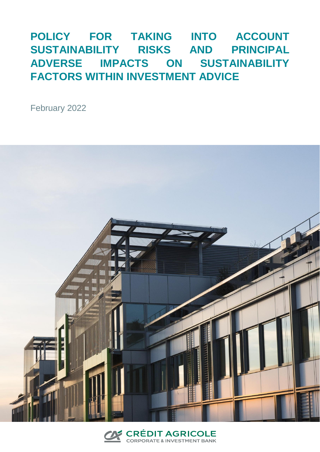## **POLICY FOR TAKING INTO ACCOUNT SUSTAINABILITY RISKS AND PRINCIPAL ADVERSE IMPACTS ON SUSTAINABILITY FACTORS WITHIN INVESTMENT ADVICE**

February 2022



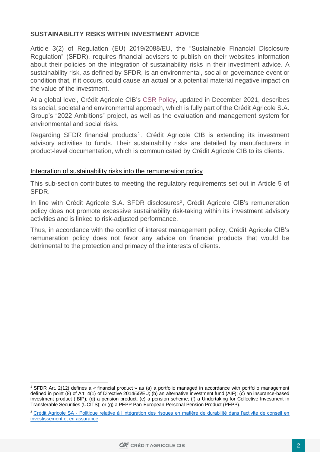## **SUSTAINABILITY RISKS WITHIN INVESTMENT ADVICE**

Article 3(2) of Regulation (EU) 2019/2088/EU, the "Sustainable Financial Disclosure Regulation" (SFDR), requires financial advisers to publish on their websites information about their policies on the integration of sustainability risks in their investment advice. A sustainability risk, as defined by SFDR, is an environmental, social or governance event or condition that, if it occurs, could cause an actual or a potential material negative impact on the value of the investment.

At a global level, Crédit Agricole CIB's [CSR Policy,](https://www.ca-cib.com/sites/default/files/2021-12/CSR%20policy%202021.pdf) updated in December 2021, describes its social, societal and environmental approach, which is fully part of the Crédit Agricole S.A. Group's "2022 Ambitions" project, as well as the evaluation and management system for environmental and social risks.

Regarding SFDR financial products<sup>1</sup>, Crédit Agricole CIB is extending its investment advisory activities to funds. Their sustainability risks are detailed by manufacturers in product-level documentation, which is communicated by Crédit Agricole CIB to its clients.

## Integration of sustainability risks into the remuneration policy

This sub-section contributes to meeting the regulatory requirements set out in Article 5 of SFDR.

In line with Crédit Agricole S.A. SFDR disclosures<sup>2</sup>, Crédit Agricole CIB's remuneration policy does not promote excessive sustainability risk-taking within its investment advisory activities and is linked to risk-adjusted performance.

Thus, in accordance with the conflict of interest management policy, Crédit Agricole CIB's remuneration policy does not favor any advice on financial products that would be detrimental to the protection and primacy of the interests of clients.

<sup>2</sup> Crédit Agricole SA - [Politique relative à l'intégration des risques en matière de durabilité dans l'activité de conseil en](https://www.credit-agricole.com/pdfPreview/187617#:~:text=Le%20Cr%C3%A9dit%20Agricole%20a%20initi%C3%A9,positif%20sur%20la%20performance%20financi%C3%A8re.)  investissement [et en assurance.](https://www.credit-agricole.com/pdfPreview/187617#:~:text=Le%20Cr%C3%A9dit%20Agricole%20a%20initi%C3%A9,positif%20sur%20la%20performance%20financi%C3%A8re.)



<sup>1</sup> <sup>1</sup> SFDR Art. 2(12) defines a « financial product » as (a) a portfolio managed in accordance with portfolio management defined in point (8) of Art. 4(1) of Directive 2014/65/EU; (b) an alternative investment fund (AIF); (c) an insurance-based investment product (IBIP); (d) a pension product; (e) a pension scheme; (f) a Undertaking for Collective Investment in Transferable Securities (UCITS); or (g) a PEPP Pan-European Personal Pension Product (PEPP).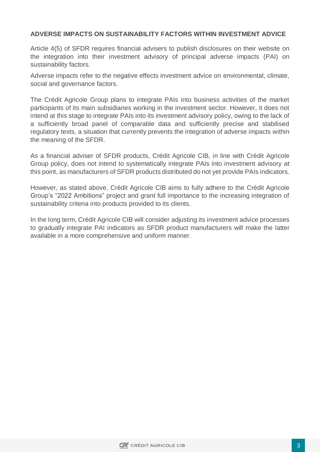## **ADVERSE IMPACTS ON SUSTAINABILITY FACTORS WITHIN INVESTMENT ADVICE**

Article 4(5) of SFDR requires financial advisers to publish disclosures on their website on the integration into their investment advisory of principal adverse impacts (PAI) on sustainability factors.

Adverse impacts refer to the negative effects investment advice on environmental, climate, social and governance factors.

The Crédit Agricole Group plans to integrate PAIs into business activities of the market participants of its main subsidiaries working in the investment sector. However, it does not intend at this stage to integrate PAIs into its investment advisory policy, owing to the lack of a sufficiently broad panel of comparable data and sufficiently precise and stabilised regulatory texts, a situation that currently prevents the integration of adverse impacts within the meaning of the SFDR.

As a financial adviser of SFDR products, Crédit Agricole CIB, in line with Crédit Agricole Group policy, does not intend to systematically integrate PAIs into investment advisory at this point, as manufacturers of SFDR products distributed do not yet provide PAIs indicators.

However, as stated above, Crédit Agricole CIB aims to fully adhere to the Crédit Agricole Group's "2022 Ambitions" project and grant full importance to the increasing integration of sustainability criteria into products provided to its clients.

In the long term, Crédit Agricole CIB will consider adjusting its investment advice processes to gradually integrate PAI indicators as SFDR product manufacturers will make the latter available in a more comprehensive and uniform manner.